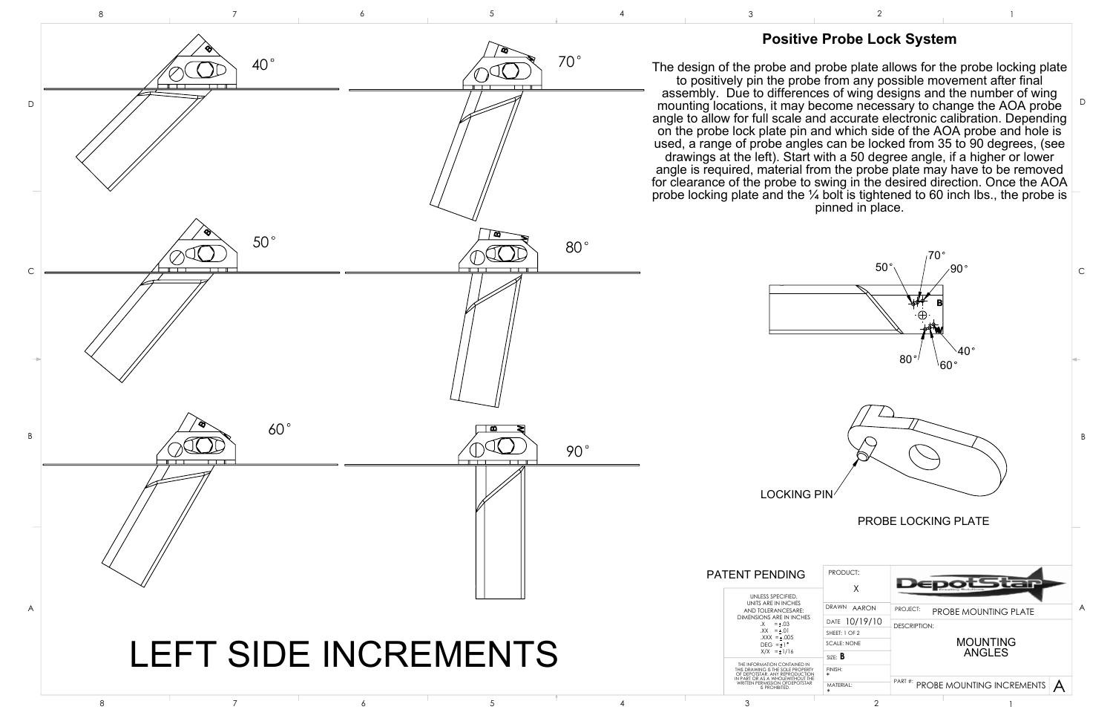